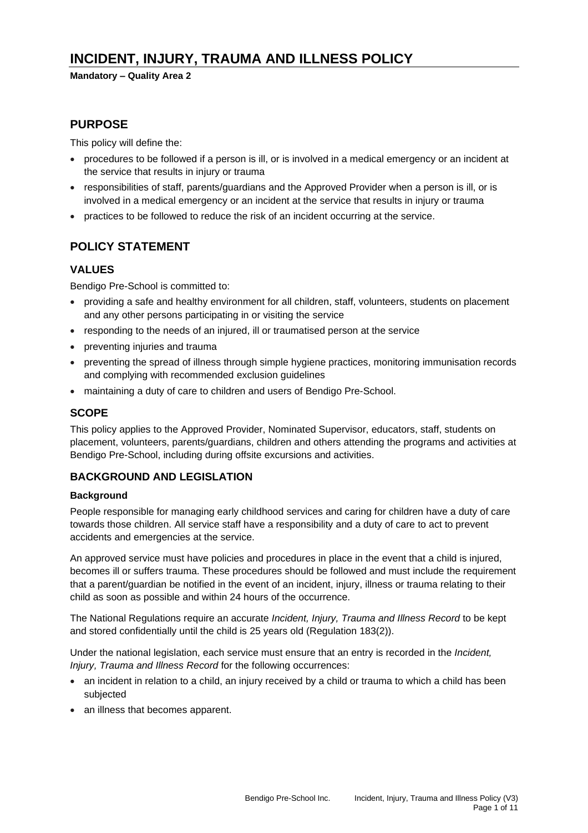# **INCIDENT, INJURY, TRAUMA AND ILLNESS POLICY**

#### **Mandatory – Quality Area 2**

## **PURPOSE**

This policy will define the:

- procedures to be followed if a person is ill, or is involved in a medical emergency or an incident at the service that results in injury or trauma
- responsibilities of staff, parents/guardians and the Approved Provider when a person is ill, or is involved in a medical emergency or an incident at the service that results in injury or trauma
- practices to be followed to reduce the risk of an incident occurring at the service.

### **POLICY STATEMENT**

#### **VALUES**

Bendigo Pre-School is committed to:

- providing a safe and healthy environment for all children, staff, volunteers, students on placement and any other persons participating in or visiting the service
- responding to the needs of an injured, ill or traumatised person at the service
- preventing injuries and trauma
- preventing the spread of illness through simple hygiene practices, monitoring immunisation records and complying with recommended exclusion guidelines
- maintaining a duty of care to children and users of Bendigo Pre-School.

### **SCOPE**

This policy applies to the Approved Provider, Nominated Supervisor, educators, staff, students on placement, volunteers, parents/guardians, children and others attending the programs and activities at Bendigo Pre-School, including during offsite excursions and activities.

#### **BACKGROUND AND LEGISLATION**

#### **Background**

People responsible for managing early childhood services and caring for children have a duty of care towards those children. All service staff have a responsibility and a duty of care to act to prevent accidents and emergencies at the service.

An approved service must have policies and procedures in place in the event that a child is injured, becomes ill or suffers trauma. These procedures should be followed and must include the requirement that a parent/guardian be notified in the event of an incident, injury, illness or trauma relating to their child as soon as possible and within 24 hours of the occurrence.

The National Regulations require an accurate *Incident, Injury, Trauma and Illness Record* to be kept and stored confidentially until the child is 25 years old (Regulation 183(2)).

Under the national legislation, each service must ensure that an entry is recorded in the *Incident, Injury, Trauma and Illness Record* for the following occurrences:

- an incident in relation to a child, an injury received by a child or trauma to which a child has been subjected
- an illness that becomes apparent.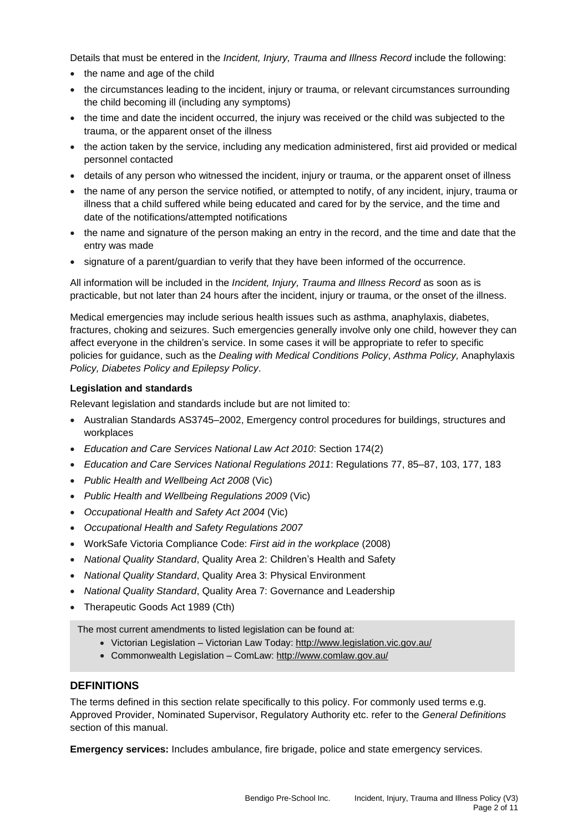Details that must be entered in the *Incident, Injury, Trauma and Illness Record* include the following:

- the name and age of the child
- the circumstances leading to the incident, injury or trauma, or relevant circumstances surrounding the child becoming ill (including any symptoms)
- the time and date the incident occurred, the injury was received or the child was subjected to the trauma, or the apparent onset of the illness
- the action taken by the service, including any medication administered, first aid provided or medical personnel contacted
- details of any person who witnessed the incident, injury or trauma, or the apparent onset of illness
- the name of any person the service notified, or attempted to notify, of any incident, injury, trauma or illness that a child suffered while being educated and cared for by the service, and the time and date of the notifications/attempted notifications
- the name and signature of the person making an entry in the record, and the time and date that the entry was made
- signature of a parent/guardian to verify that they have been informed of the occurrence.

All information will be included in the *Incident, Injury, Trauma and Illness Record* as soon as is practicable, but not later than 24 hours after the incident, injury or trauma, or the onset of the illness.

Medical emergencies may include serious health issues such as asthma, anaphylaxis, diabetes, fractures, choking and seizures. Such emergencies generally involve only one child, however they can affect everyone in the children's service. In some cases it will be appropriate to refer to specific policies for guidance, such as the *Dealing with Medical Conditions Policy*, *Asthma Policy,* Anaphylaxis *Policy, Diabetes Policy and Epilepsy Policy*.

### **Legislation and standards**

Relevant legislation and standards include but are not limited to:

- Australian Standards AS3745–2002, Emergency control procedures for buildings, structures and workplaces
- *Education and Care Services National Law Act 2010*: Section 174(2)
- *Education and Care Services National Regulations 2011*: Regulations 77, 85–87, 103, 177, 183
- *Public Health and Wellbeing Act 2008* (Vic)
- *Public Health and Wellbeing Regulations 2009* (Vic)
- *Occupational Health and Safety Act 2004* (Vic)
- *Occupational Health and Safety Regulations 2007*
- WorkSafe Victoria Compliance Code: *First aid in the workplace* (2008)
- *National Quality Standard*, Quality Area 2: Children's Health and Safety
- *National Quality Standard*, Quality Area 3: Physical Environment
- *National Quality Standard*, Quality Area 7: Governance and Leadership
- Therapeutic Goods Act 1989 (Cth)

The most current amendments to listed legislation can be found at:

- Victorian Legislation Victorian Law Today: <http://www.legislation.vic.gov.au/>
- Commonwealth Legislation ComLaw: <http://www.comlaw.gov.au/>

#### **DEFINITIONS**

The terms defined in this section relate specifically to this policy. For commonly used terms e.g. Approved Provider, Nominated Supervisor, Regulatory Authority etc. refer to the *General Definitions* section of this manual.

**Emergency services:** Includes ambulance, fire brigade, police and state emergency services.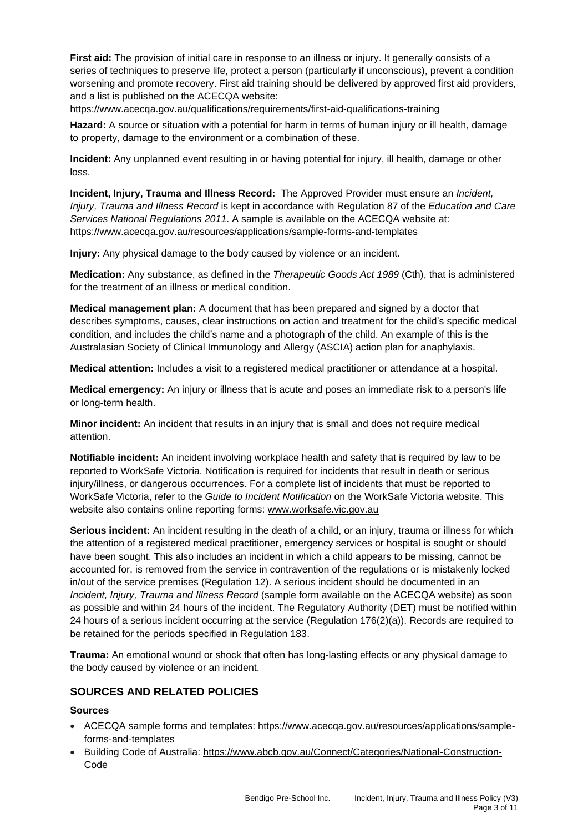**First aid:** The provision of initial care in response to an illness or injury. It generally consists of a series of techniques to preserve life, protect a person (particularly if unconscious), prevent a condition worsening and promote recovery. First aid training should be delivered by approved first aid providers, and a list is published on the ACECQA website:

<https://www.acecqa.gov.au/qualifications/requirements/first-aid-qualifications-training>

**Hazard:** A source or situation with a potential for harm in terms of human injury or ill health, damage to property, damage to the environment or a combination of these.

**Incident:** Any unplanned event resulting in or having potential for injury, ill health, damage or other loss.

**Incident, Injury, Trauma and Illness Record:** The Approved Provider must ensure an *Incident, Injury, Trauma and Illness Record* is kept in accordance with Regulation 87 of the *Education and Care Services National Regulations 2011*. A sample is available on the ACECQA website at: <https://www.acecqa.gov.au/resources/applications/sample-forms-and-templates>

**Injury:** Any physical damage to the body caused by violence or an incident.

**Medication:** Any substance, as defined in the *Therapeutic Goods Act 1989* (Cth), that is administered for the treatment of an illness or medical condition.

**Medical management plan:** A document that has been prepared and signed by a doctor that describes symptoms, causes, clear instructions on action and treatment for the child's specific medical condition, and includes the child's name and a photograph of the child. An example of this is the Australasian Society of Clinical Immunology and Allergy (ASCIA) action plan for anaphylaxis.

**Medical attention:** Includes a visit to a registered medical practitioner or attendance at a hospital.

**Medical emergency:** An injury or illness that is acute and poses an immediate risk to a person's life or long-term health.

**Minor incident:** An incident that results in an injury that is small and does not require medical attention.

**Notifiable incident:** An incident involving workplace health and safety that is required by law to be reported to WorkSafe Victoria. Notification is required for incidents that result in death or serious injury/illness, or dangerous occurrences. For a complete list of incidents that must be reported to WorkSafe Victoria, refer to the *Guide to Incident Notification* on the WorkSafe Victoria website. This website also contains online reporting forms: [www.worksafe.vic.gov.au](http://www.worksafe.vic.gov.au/)

**Serious incident:** An incident resulting in the death of a child, or an injury, trauma or illness for which the attention of a registered medical practitioner, emergency services or hospital is sought or should have been sought. This also includes an incident in which a child appears to be missing, cannot be accounted for, is removed from the service in contravention of the regulations or is mistakenly locked in/out of the service premises (Regulation 12). A serious incident should be documented in an *Incident, Injury, Trauma and Illness Record* (sample form available on the ACECQA website) as soon as possible and within 24 hours of the incident. The Regulatory Authority (DET) must be notified within 24 hours of a serious incident occurring at the service (Regulation 176(2)(a)). Records are required to be retained for the periods specified in Regulation 183.

**Trauma:** An emotional wound or shock that often has long-lasting effects or any physical damage to the body caused by violence or an incident.

### **SOURCES AND RELATED POLICIES**

#### **Sources**

- ACECQA sample forms and templates: [https://www.acecqa.gov.au/resources/applications/sample](https://www.acecqa.gov.au/resources/applications/sample-forms-and-templates)[forms-and-templates](https://www.acecqa.gov.au/resources/applications/sample-forms-and-templates)
- Building Code of Australia: [https://www.abcb.gov.au/Connect/Categories/National-Construction-](https://www.abcb.gov.au/Connect/Categories/National-Construction-Code)[Code](https://www.abcb.gov.au/Connect/Categories/National-Construction-Code)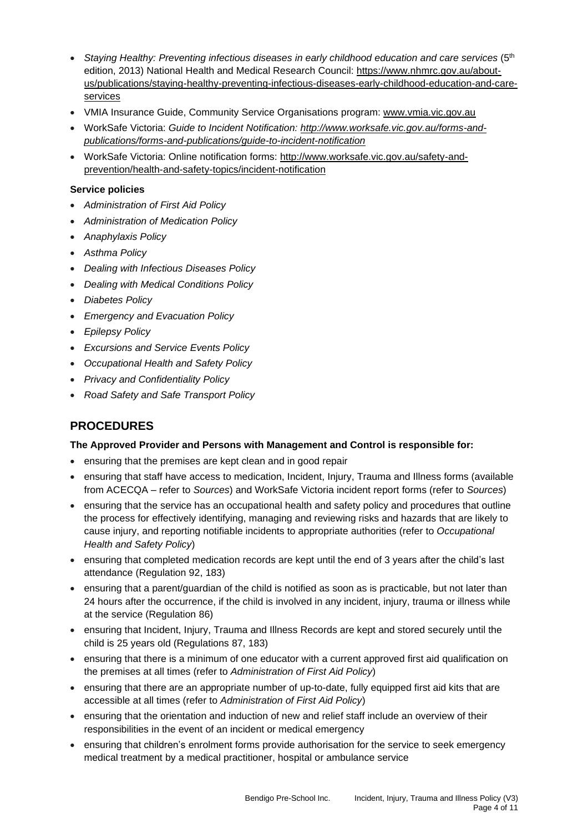- *Staying Healthy: Preventing infectious diseases in early childhood education and care services* (5th edition, 2013) National Health and Medical Research Council: [https://www.nhmrc.gov.au/about](https://www.nhmrc.gov.au/about-us/publications/staying-healthy-preventing-infectious-diseases-early-childhood-education-and-care-services)[us/publications/staying-healthy-preventing-infectious-diseases-early-childhood-education-and-care](https://www.nhmrc.gov.au/about-us/publications/staying-healthy-preventing-infectious-diseases-early-childhood-education-and-care-services)[services](https://www.nhmrc.gov.au/about-us/publications/staying-healthy-preventing-infectious-diseases-early-childhood-education-and-care-services)
- VMIA Insurance Guide, Community Service Organisations program: [www.vmia.vic.gov.au](http://www.vmia.vic.gov.au/)
- WorkSafe Victoria: *Guide to Incident Notification: [http://www.worksafe.vic.gov.au/forms-and](http://www.worksafe.vic.gov.au/forms-and-publications/forms-and-publications/guide-to-incident-notification)[publications/forms-and-publications/guide-to-incident-notification](http://www.worksafe.vic.gov.au/forms-and-publications/forms-and-publications/guide-to-incident-notification)*
- WorkSafe Victoria: Online notification forms: [http://www.worksafe.vic.gov.au/safety-and](http://www.worksafe.vic.gov.au/safety-and-prevention/health-and-safety-topics/incident-notification)[prevention/health-and-safety-topics/incident-notification](http://www.worksafe.vic.gov.au/safety-and-prevention/health-and-safety-topics/incident-notification)

#### **Service policies**

- *Administration of First Aid Policy*
- *Administration of Medication Policy*
- *Anaphylaxis Policy*
- *Asthma Policy*
- *Dealing with Infectious Diseases Policy*
- *Dealing with Medical Conditions Policy*
- *Diabetes Policy*
- *Emergency and Evacuation Policy*
- *Epilepsy Policy*
- *Excursions and Service Events Policy*
- *Occupational Health and Safety Policy*
- *Privacy and Confidentiality Policy*
- *Road Safety and Safe Transport Policy*

## **PROCEDURES**

#### **The Approved Provider and Persons with Management and Control is responsible for:**

- ensuring that the premises are kept clean and in good repair
- ensuring that staff have access to medication, Incident, Injury, Trauma and Illness forms (available from ACECQA – refer to *Sources*) and WorkSafe Victoria incident report forms (refer to *Sources*)
- ensuring that the service has an occupational health and safety policy and procedures that outline the process for effectively identifying, managing and reviewing risks and hazards that are likely to cause injury, and reporting notifiable incidents to appropriate authorities (refer to *Occupational Health and Safety Policy*)
- ensuring that completed medication records are kept until the end of 3 years after the child's last attendance (Regulation 92, 183)
- ensuring that a parent/guardian of the child is notified as soon as is practicable, but not later than 24 hours after the occurrence, if the child is involved in any incident, injury, trauma or illness while at the service (Regulation 86)
- ensuring that Incident, Injury, Trauma and Illness Records are kept and stored securely until the child is 25 years old (Regulations 87, 183)
- ensuring that there is a minimum of one educator with a current approved first aid qualification on the premises at all times (refer to *Administration of First Aid Policy*)
- ensuring that there are an appropriate number of up-to-date, fully equipped first aid kits that are accessible at all times (refer to *Administration of First Aid Policy*)
- ensuring that the orientation and induction of new and relief staff include an overview of their responsibilities in the event of an incident or medical emergency
- ensuring that children's enrolment forms provide authorisation for the service to seek emergency medical treatment by a medical practitioner, hospital or ambulance service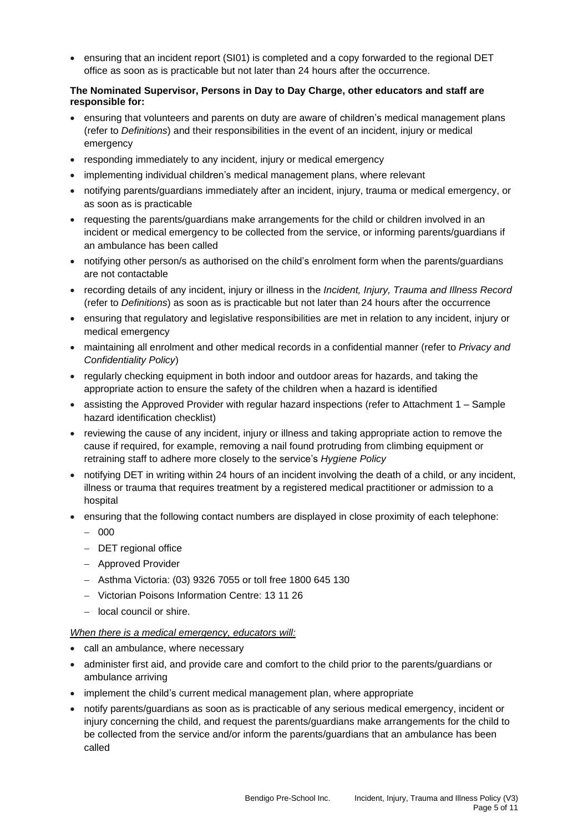• ensuring that an incident report (SI01) is completed and a copy forwarded to the regional DET office as soon as is practicable but not later than 24 hours after the occurrence.

#### **The Nominated Supervisor, Persons in Day to Day Charge, other educators and staff are responsible for:**

- ensuring that volunteers and parents on duty are aware of children's medical management plans (refer to *Definitions*) and their responsibilities in the event of an incident, injury or medical emergency
- responding immediately to any incident, injury or medical emergency
- implementing individual children's medical management plans, where relevant
- notifying parents/guardians immediately after an incident, injury, trauma or medical emergency, or as soon as is practicable
- requesting the parents/guardians make arrangements for the child or children involved in an incident or medical emergency to be collected from the service, or informing parents/guardians if an ambulance has been called
- notifying other person/s as authorised on the child's enrolment form when the parents/guardians are not contactable
- recording details of any incident, injury or illness in the *Incident, Injury, Trauma and Illness Record* (refer to *Definitions*) as soon as is practicable but not later than 24 hours after the occurrence
- ensuring that regulatory and legislative responsibilities are met in relation to any incident, injury or medical emergency
- maintaining all enrolment and other medical records in a confidential manner (refer to *Privacy and Confidentiality Policy*)
- regularly checking equipment in both indoor and outdoor areas for hazards, and taking the appropriate action to ensure the safety of the children when a hazard is identified
- assisting the Approved Provider with regular hazard inspections (refer to Attachment 1 Sample hazard identification checklist)
- reviewing the cause of any incident, injury or illness and taking appropriate action to remove the cause if required, for example, removing a nail found protruding from climbing equipment or retraining staff to adhere more closely to the service's *Hygiene Policy*
- notifying DET in writing within 24 hours of an incident involving the death of a child, or any incident, illness or trauma that requires treatment by a registered medical practitioner or admission to a hospital
- ensuring that the following contact numbers are displayed in close proximity of each telephone:
	- − 000
	- − DET regional office
	- − Approved Provider
	- − Asthma Victoria: (03) 9326 7055 or toll free 1800 645 130
	- − Victorian Poisons Information Centre: 13 11 26
	- − local council or shire.

#### *When there is a medical emergency, educators will:*

- call an ambulance, where necessary
- administer first aid, and provide care and comfort to the child prior to the parents/guardians or ambulance arriving
- implement the child's current medical management plan, where appropriate
- notify parents/guardians as soon as is practicable of any serious medical emergency, incident or injury concerning the child, and request the parents/guardians make arrangements for the child to be collected from the service and/or inform the parents/guardians that an ambulance has been called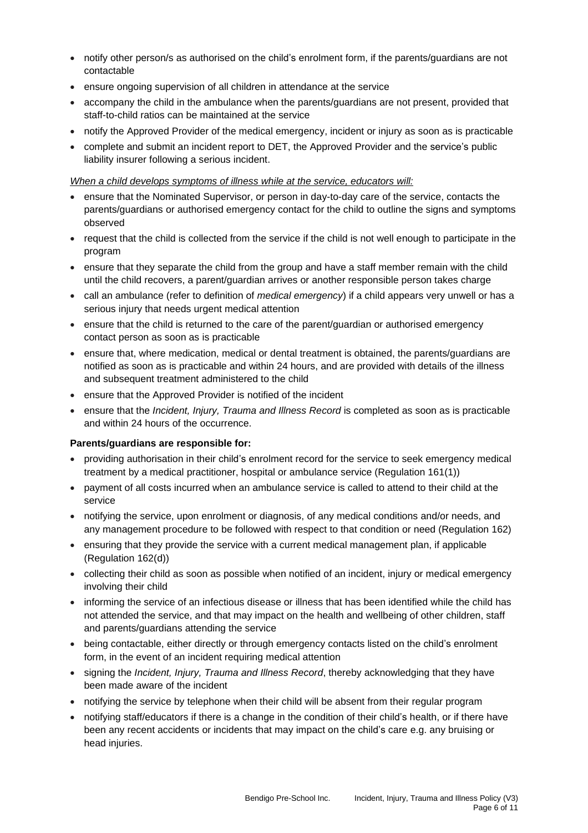- notify other person/s as authorised on the child's enrolment form, if the parents/guardians are not contactable
- ensure ongoing supervision of all children in attendance at the service
- accompany the child in the ambulance when the parents/guardians are not present, provided that staff-to-child ratios can be maintained at the service
- notify the Approved Provider of the medical emergency, incident or injury as soon as is practicable
- complete and submit an incident report to DET, the Approved Provider and the service's public liability insurer following a serious incident.

#### *When a child develops symptoms of illness while at the service, educators will:*

- ensure that the Nominated Supervisor, or person in day-to-day care of the service, contacts the parents/guardians or authorised emergency contact for the child to outline the signs and symptoms observed
- request that the child is collected from the service if the child is not well enough to participate in the program
- ensure that they separate the child from the group and have a staff member remain with the child until the child recovers, a parent/guardian arrives or another responsible person takes charge
- call an ambulance (refer to definition of *medical emergency*) if a child appears very unwell or has a serious injury that needs urgent medical attention
- ensure that the child is returned to the care of the parent/guardian or authorised emergency contact person as soon as is practicable
- ensure that, where medication, medical or dental treatment is obtained, the parents/guardians are notified as soon as is practicable and within 24 hours, and are provided with details of the illness and subsequent treatment administered to the child
- ensure that the Approved Provider is notified of the incident
- ensure that the *Incident, Injury, Trauma and Illness Record* is completed as soon as is practicable and within 24 hours of the occurrence.

#### **Parents/guardians are responsible for:**

- providing authorisation in their child's enrolment record for the service to seek emergency medical treatment by a medical practitioner, hospital or ambulance service (Regulation 161(1))
- payment of all costs incurred when an ambulance service is called to attend to their child at the service
- notifying the service, upon enrolment or diagnosis, of any medical conditions and/or needs, and any management procedure to be followed with respect to that condition or need (Regulation 162)
- ensuring that they provide the service with a current medical management plan, if applicable (Regulation 162(d))
- collecting their child as soon as possible when notified of an incident, injury or medical emergency involving their child
- informing the service of an infectious disease or illness that has been identified while the child has not attended the service, and that may impact on the health and wellbeing of other children, staff and parents/guardians attending the service
- being contactable, either directly or through emergency contacts listed on the child's enrolment form, in the event of an incident requiring medical attention
- signing the *Incident, Injury, Trauma and Illness Record*, thereby acknowledging that they have been made aware of the incident
- notifying the service by telephone when their child will be absent from their regular program
- notifying staff/educators if there is a change in the condition of their child's health, or if there have been any recent accidents or incidents that may impact on the child's care e.g. any bruising or head injuries.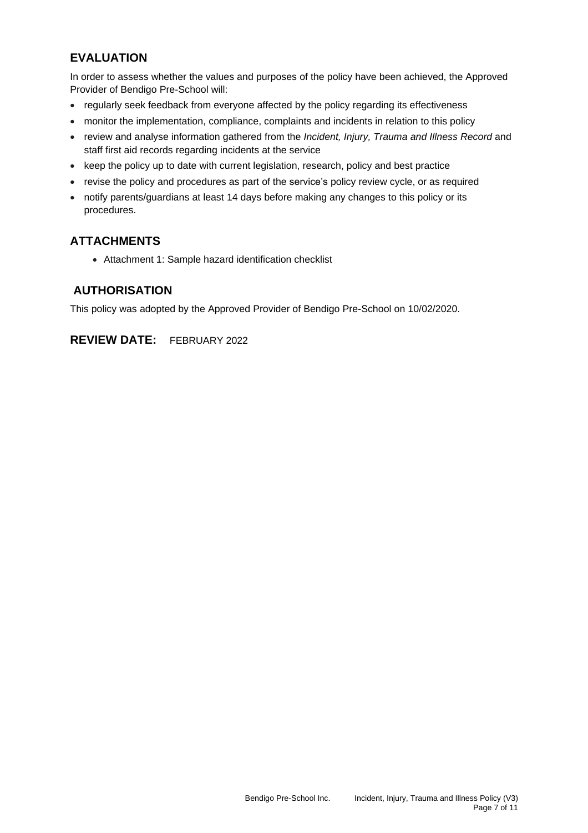## **EVALUATION**

In order to assess whether the values and purposes of the policy have been achieved, the Approved Provider of Bendigo Pre-School will:

- regularly seek feedback from everyone affected by the policy regarding its effectiveness
- monitor the implementation, compliance, complaints and incidents in relation to this policy
- review and analyse information gathered from the *Incident, Injury, Trauma and Illness Record* and staff first aid records regarding incidents at the service
- keep the policy up to date with current legislation, research, policy and best practice
- revise the policy and procedures as part of the service's policy review cycle, or as required
- notify parents/guardians at least 14 days before making any changes to this policy or its procedures.

## **ATTACHMENTS**

• Attachment 1: Sample hazard identification checklist

## **AUTHORISATION**

This policy was adopted by the Approved Provider of Bendigo Pre-School on 10/02/2020.

**REVIEW DATE:** FEBRUARY 2022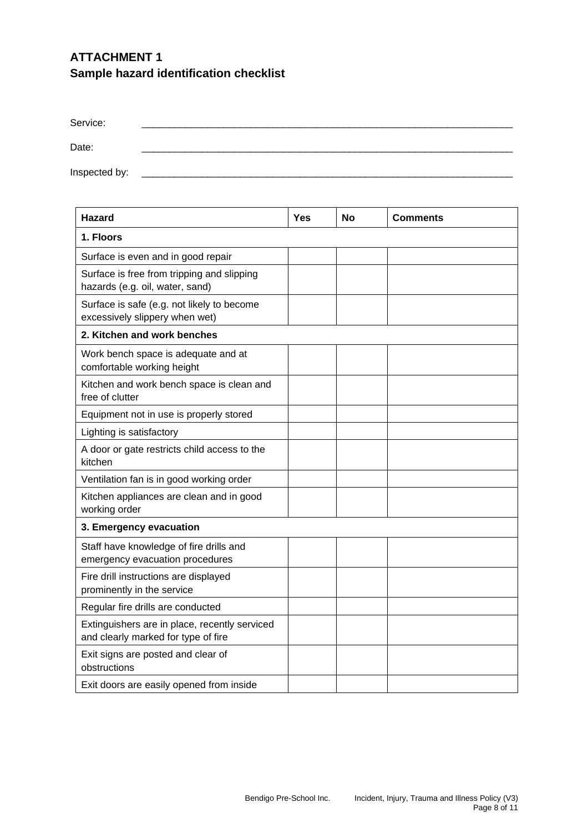# **ATTACHMENT 1 Sample hazard identification checklist**

| Service:      |  |  |
|---------------|--|--|
| Date:         |  |  |
| Inspected by: |  |  |

| <b>Hazard</b>                                                                        | Yes | <b>No</b> | <b>Comments</b> |  |  |
|--------------------------------------------------------------------------------------|-----|-----------|-----------------|--|--|
| 1. Floors                                                                            |     |           |                 |  |  |
| Surface is even and in good repair                                                   |     |           |                 |  |  |
| Surface is free from tripping and slipping<br>hazards (e.g. oil, water, sand)        |     |           |                 |  |  |
| Surface is safe (e.g. not likely to become<br>excessively slippery when wet)         |     |           |                 |  |  |
| 2. Kitchen and work benches                                                          |     |           |                 |  |  |
| Work bench space is adequate and at<br>comfortable working height                    |     |           |                 |  |  |
| Kitchen and work bench space is clean and<br>free of clutter                         |     |           |                 |  |  |
| Equipment not in use is properly stored                                              |     |           |                 |  |  |
| Lighting is satisfactory                                                             |     |           |                 |  |  |
| A door or gate restricts child access to the<br>kitchen                              |     |           |                 |  |  |
| Ventilation fan is in good working order                                             |     |           |                 |  |  |
| Kitchen appliances are clean and in good<br>working order                            |     |           |                 |  |  |
| 3. Emergency evacuation                                                              |     |           |                 |  |  |
| Staff have knowledge of fire drills and<br>emergency evacuation procedures           |     |           |                 |  |  |
| Fire drill instructions are displayed<br>prominently in the service                  |     |           |                 |  |  |
| Regular fire drills are conducted                                                    |     |           |                 |  |  |
| Extinguishers are in place, recently serviced<br>and clearly marked for type of fire |     |           |                 |  |  |
| Exit signs are posted and clear of<br>obstructions                                   |     |           |                 |  |  |
| Exit doors are easily opened from inside                                             |     |           |                 |  |  |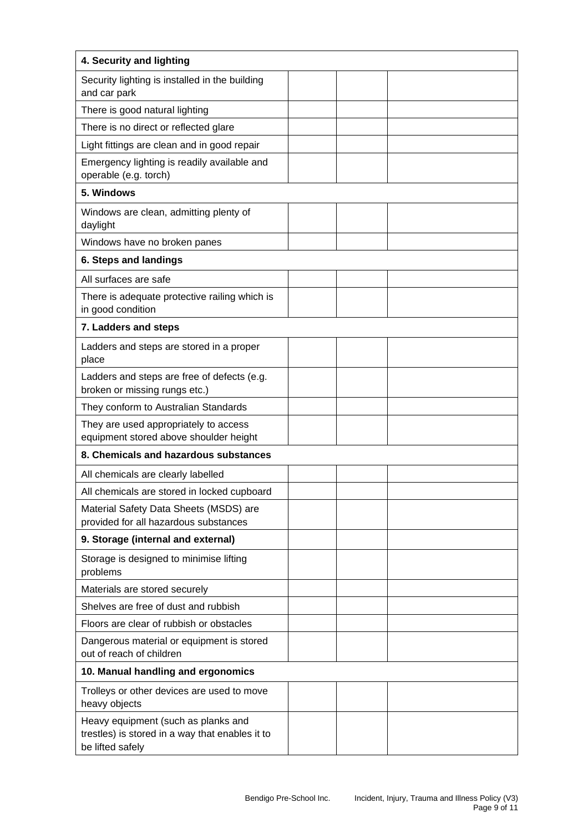| 4. Security and lighting                                                                                   |  |  |  |  |  |
|------------------------------------------------------------------------------------------------------------|--|--|--|--|--|
| Security lighting is installed in the building<br>and car park                                             |  |  |  |  |  |
| There is good natural lighting                                                                             |  |  |  |  |  |
| There is no direct or reflected glare                                                                      |  |  |  |  |  |
| Light fittings are clean and in good repair                                                                |  |  |  |  |  |
| Emergency lighting is readily available and<br>operable (e.g. torch)                                       |  |  |  |  |  |
| 5. Windows                                                                                                 |  |  |  |  |  |
| Windows are clean, admitting plenty of<br>daylight                                                         |  |  |  |  |  |
| Windows have no broken panes                                                                               |  |  |  |  |  |
| 6. Steps and landings                                                                                      |  |  |  |  |  |
| All surfaces are safe                                                                                      |  |  |  |  |  |
| There is adequate protective railing which is<br>in good condition                                         |  |  |  |  |  |
| 7. Ladders and steps                                                                                       |  |  |  |  |  |
| Ladders and steps are stored in a proper<br>place                                                          |  |  |  |  |  |
| Ladders and steps are free of defects (e.g.<br>broken or missing rungs etc.)                               |  |  |  |  |  |
| They conform to Australian Standards                                                                       |  |  |  |  |  |
| They are used appropriately to access<br>equipment stored above shoulder height                            |  |  |  |  |  |
| 8. Chemicals and hazardous substances                                                                      |  |  |  |  |  |
| All chemicals are clearly labelled                                                                         |  |  |  |  |  |
| All chemicals are stored in locked cupboard                                                                |  |  |  |  |  |
| Material Safety Data Sheets (MSDS) are<br>provided for all hazardous substances                            |  |  |  |  |  |
| 9. Storage (internal and external)                                                                         |  |  |  |  |  |
| Storage is designed to minimise lifting<br>problems                                                        |  |  |  |  |  |
| Materials are stored securely                                                                              |  |  |  |  |  |
| Shelves are free of dust and rubbish                                                                       |  |  |  |  |  |
| Floors are clear of rubbish or obstacles                                                                   |  |  |  |  |  |
| Dangerous material or equipment is stored<br>out of reach of children                                      |  |  |  |  |  |
| 10. Manual handling and ergonomics                                                                         |  |  |  |  |  |
| Trolleys or other devices are used to move<br>heavy objects                                                |  |  |  |  |  |
| Heavy equipment (such as planks and<br>trestles) is stored in a way that enables it to<br>be lifted safely |  |  |  |  |  |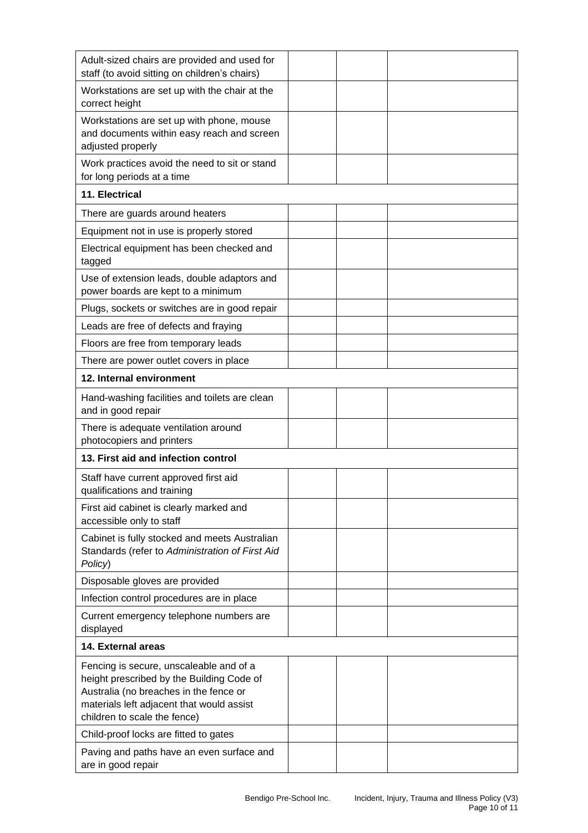| Adult-sized chairs are provided and used for<br>staff (to avoid sitting on children's chairs)                                                                                                               |  |  |  |  |  |  |
|-------------------------------------------------------------------------------------------------------------------------------------------------------------------------------------------------------------|--|--|--|--|--|--|
| Workstations are set up with the chair at the<br>correct height                                                                                                                                             |  |  |  |  |  |  |
| Workstations are set up with phone, mouse<br>and documents within easy reach and screen<br>adjusted properly                                                                                                |  |  |  |  |  |  |
| Work practices avoid the need to sit or stand<br>for long periods at a time                                                                                                                                 |  |  |  |  |  |  |
| 11. Electrical                                                                                                                                                                                              |  |  |  |  |  |  |
| There are guards around heaters                                                                                                                                                                             |  |  |  |  |  |  |
| Equipment not in use is properly stored                                                                                                                                                                     |  |  |  |  |  |  |
| Electrical equipment has been checked and<br>tagged                                                                                                                                                         |  |  |  |  |  |  |
| Use of extension leads, double adaptors and<br>power boards are kept to a minimum                                                                                                                           |  |  |  |  |  |  |
| Plugs, sockets or switches are in good repair                                                                                                                                                               |  |  |  |  |  |  |
| Leads are free of defects and fraying                                                                                                                                                                       |  |  |  |  |  |  |
| Floors are free from temporary leads                                                                                                                                                                        |  |  |  |  |  |  |
| There are power outlet covers in place                                                                                                                                                                      |  |  |  |  |  |  |
| 12. Internal environment                                                                                                                                                                                    |  |  |  |  |  |  |
| Hand-washing facilities and toilets are clean<br>and in good repair                                                                                                                                         |  |  |  |  |  |  |
| There is adequate ventilation around<br>photocopiers and printers                                                                                                                                           |  |  |  |  |  |  |
| 13. First aid and infection control                                                                                                                                                                         |  |  |  |  |  |  |
| Staff have current approved first aid<br>qualifications and training                                                                                                                                        |  |  |  |  |  |  |
| First aid cabinet is clearly marked and<br>accessible only to staff                                                                                                                                         |  |  |  |  |  |  |
| Cabinet is fully stocked and meets Australian<br>Standards (refer to Administration of First Aid<br>Policy)                                                                                                 |  |  |  |  |  |  |
| Disposable gloves are provided                                                                                                                                                                              |  |  |  |  |  |  |
| Infection control procedures are in place                                                                                                                                                                   |  |  |  |  |  |  |
| Current emergency telephone numbers are<br>displayed                                                                                                                                                        |  |  |  |  |  |  |
| 14. External areas                                                                                                                                                                                          |  |  |  |  |  |  |
| Fencing is secure, unscaleable and of a<br>height prescribed by the Building Code of<br>Australia (no breaches in the fence or<br>materials left adjacent that would assist<br>children to scale the fence) |  |  |  |  |  |  |
| Child-proof locks are fitted to gates                                                                                                                                                                       |  |  |  |  |  |  |
| Paving and paths have an even surface and<br>are in good repair                                                                                                                                             |  |  |  |  |  |  |